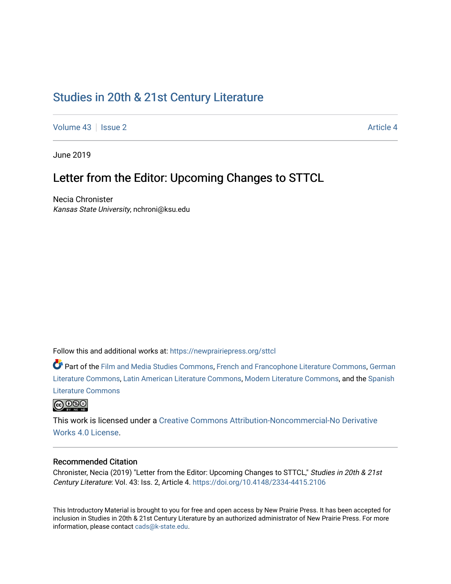# [Studies in 20th & 21st Century Literature](https://newprairiepress.org/sttcl)

[Volume 43](https://newprairiepress.org/sttcl/vol43) | [Issue 2](https://newprairiepress.org/sttcl/vol43/iss2) [Article 4](https://newprairiepress.org/sttcl/vol43/iss2/4) Article 4

June 2019

## Letter from the Editor: Upcoming Changes to STTCL

Necia Chronister Kansas State University, nchroni@ksu.edu

Follow this and additional works at: [https://newprairiepress.org/sttcl](https://newprairiepress.org/sttcl?utm_source=newprairiepress.org%2Fsttcl%2Fvol43%2Fiss2%2F4&utm_medium=PDF&utm_campaign=PDFCoverPages) 

Part of the [Film and Media Studies Commons,](http://network.bepress.com/hgg/discipline/563?utm_source=newprairiepress.org%2Fsttcl%2Fvol43%2Fiss2%2F4&utm_medium=PDF&utm_campaign=PDFCoverPages) [French and Francophone Literature Commons,](http://network.bepress.com/hgg/discipline/465?utm_source=newprairiepress.org%2Fsttcl%2Fvol43%2Fiss2%2F4&utm_medium=PDF&utm_campaign=PDFCoverPages) [German](http://network.bepress.com/hgg/discipline/469?utm_source=newprairiepress.org%2Fsttcl%2Fvol43%2Fiss2%2F4&utm_medium=PDF&utm_campaign=PDFCoverPages) [Literature Commons,](http://network.bepress.com/hgg/discipline/469?utm_source=newprairiepress.org%2Fsttcl%2Fvol43%2Fiss2%2F4&utm_medium=PDF&utm_campaign=PDFCoverPages) [Latin American Literature Commons,](http://network.bepress.com/hgg/discipline/547?utm_source=newprairiepress.org%2Fsttcl%2Fvol43%2Fiss2%2F4&utm_medium=PDF&utm_campaign=PDFCoverPages) [Modern Literature Commons](http://network.bepress.com/hgg/discipline/1050?utm_source=newprairiepress.org%2Fsttcl%2Fvol43%2Fiss2%2F4&utm_medium=PDF&utm_campaign=PDFCoverPages), and the [Spanish](http://network.bepress.com/hgg/discipline/550?utm_source=newprairiepress.org%2Fsttcl%2Fvol43%2Fiss2%2F4&utm_medium=PDF&utm_campaign=PDFCoverPages)  [Literature Commons](http://network.bepress.com/hgg/discipline/550?utm_source=newprairiepress.org%2Fsttcl%2Fvol43%2Fiss2%2F4&utm_medium=PDF&utm_campaign=PDFCoverPages) 



This work is licensed under a [Creative Commons Attribution-Noncommercial-No Derivative](https://creativecommons.org/licenses/by-nc-nd/4.0/)  [Works 4.0 License](https://creativecommons.org/licenses/by-nc-nd/4.0/).

### Recommended Citation

Chronister, Necia (2019) "Letter from the Editor: Upcoming Changes to STTCL," Studies in 20th & 21st Century Literature: Vol. 43: Iss. 2, Article 4. <https://doi.org/10.4148/2334-4415.2106>

This Introductory Material is brought to you for free and open access by New Prairie Press. It has been accepted for inclusion in Studies in 20th & 21st Century Literature by an authorized administrator of New Prairie Press. For more information, please contact [cads@k-state.edu](mailto:cads@k-state.edu).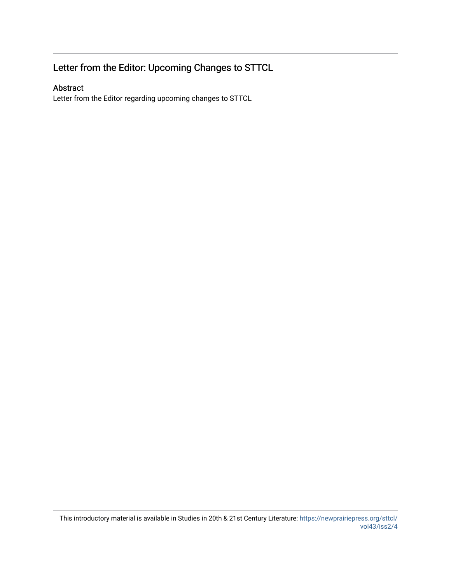# Letter from the Editor: Upcoming Changes to STTCL

### Abstract

Letter from the Editor regarding upcoming changes to STTCL

This introductory material is available in Studies in 20th & 21st Century Literature: [https://newprairiepress.org/sttcl/](https://newprairiepress.org/sttcl/vol43/iss2/4) [vol43/iss2/4](https://newprairiepress.org/sttcl/vol43/iss2/4)